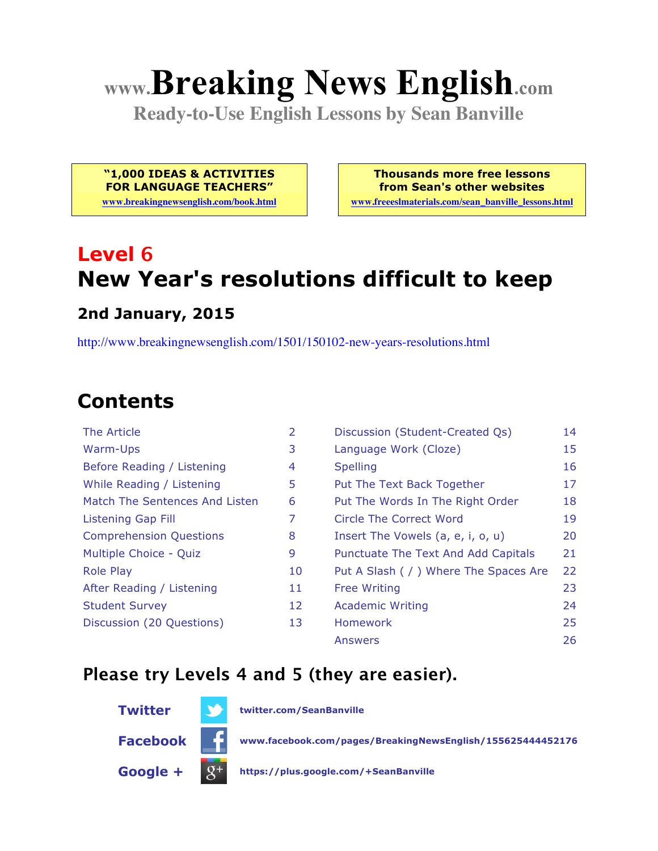# **www.Breaking News English.com**

**Ready-to-Use English Lessons by Sean Banville**

**"1,000 IDEAS & ACTIVITIES FOR LANGUAGE TEACHERS"**

**www.breakingnewsenglish.com/book.html**

**Thousands more free lessons from Sean's other websites www.freeeslmaterials.com/sean\_banville\_lessons.html**

# **Level 6 New Year's resolutions difficult to keep**

#### **2nd January, 2015**

http://www.breakingnewsenglish.com/1501/150102-new-years-resolutions.html

# **Contents**

| The Article                    | $\overline{2}$ | Discussion (Student-Created Qs)        | 14 |
|--------------------------------|----------------|----------------------------------------|----|
| Warm-Ups                       | 3              | Language Work (Cloze)                  | 15 |
| Before Reading / Listening     | 4              | <b>Spelling</b>                        | 16 |
| While Reading / Listening      | 5              | Put The Text Back Together             | 17 |
| Match The Sentences And Listen | 6              | Put The Words In The Right Order       | 18 |
| <b>Listening Gap Fill</b>      | 7              | Circle The Correct Word                | 19 |
| <b>Comprehension Questions</b> | 8              | Insert The Vowels (a, e, i, o, u)      | 20 |
| Multiple Choice - Quiz         | 9              | Punctuate The Text And Add Capitals    | 21 |
| <b>Role Play</b>               | 10             | Put A Slash ( / ) Where The Spaces Are | 22 |
| After Reading / Listening      | 11             | <b>Free Writing</b>                    | 23 |
| <b>Student Survey</b>          | 12             | <b>Academic Writing</b>                | 24 |
| Discussion (20 Questions)      | 13             | <b>Homework</b>                        | 25 |
|                                |                | <b>Answers</b>                         | 26 |

#### **Please try Levels 4 and 5 (they are easier).**



**Twitter twitter.com/SeanBanville**

**Facebook www.facebook.com/pages/BreakingNewsEnglish/155625444452176**

**Google + https://plus.google.com/+SeanBanville**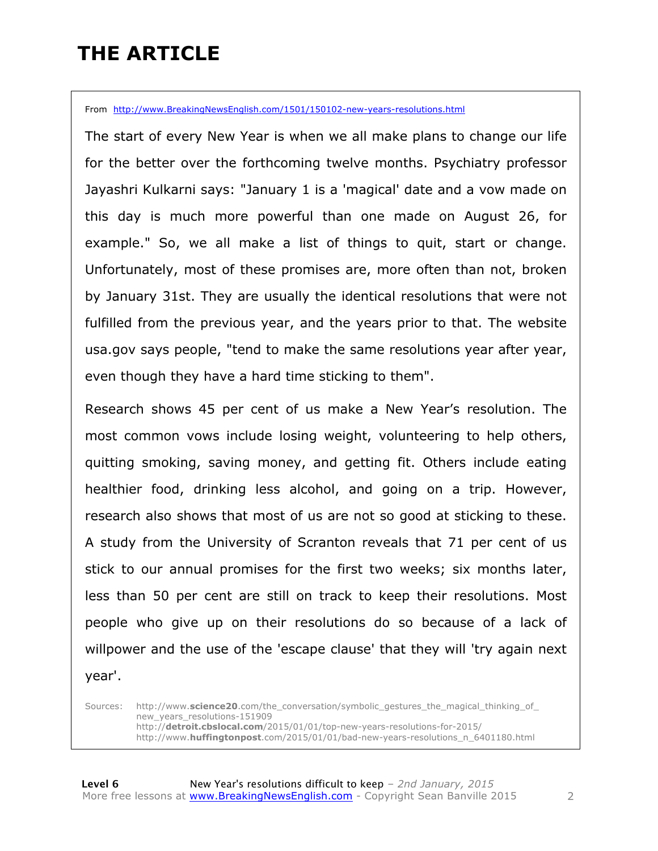# **THE ARTICLE**

From http://www.BreakingNewsEnglish.com/1501/150102-new-years-resolutions.html

The start of every New Year is when we all make plans to change our life for the better over the forthcoming twelve months. Psychiatry professor Jayashri Kulkarni says: "January 1 is a 'magical' date and a vow made on this day is much more powerful than one made on August 26, for example." So, we all make a list of things to quit, start or change. Unfortunately, most of these promises are, more often than not, broken by January 31st. They are usually the identical resolutions that were not fulfilled from the previous year, and the years prior to that. The website usa.gov says people, "tend to make the same resolutions year after year, even though they have a hard time sticking to them".

Research shows 45 per cent of us make a New Year's resolution. The most common vows include losing weight, volunteering to help others, quitting smoking, saving money, and getting fit. Others include eating healthier food, drinking less alcohol, and going on a trip. However, research also shows that most of us are not so good at sticking to these. A study from the University of Scranton reveals that 71 per cent of us stick to our annual promises for the first two weeks; six months later, less than 50 per cent are still on track to keep their resolutions. Most people who give up on their resolutions do so because of a lack of willpower and the use of the 'escape clause' that they will 'try again next year'.

Sources: http://www.science20.com/the\_conversation/symbolic\_gestures\_the\_magical\_thinking\_of new\_years\_resolutions-151909 http://**detroit.cbslocal.com**/2015/01/01/top-new-years-resolutions-for-2015/ http://www.**huffingtonpost**.com/2015/01/01/bad-new-years-resolutions\_n\_6401180.html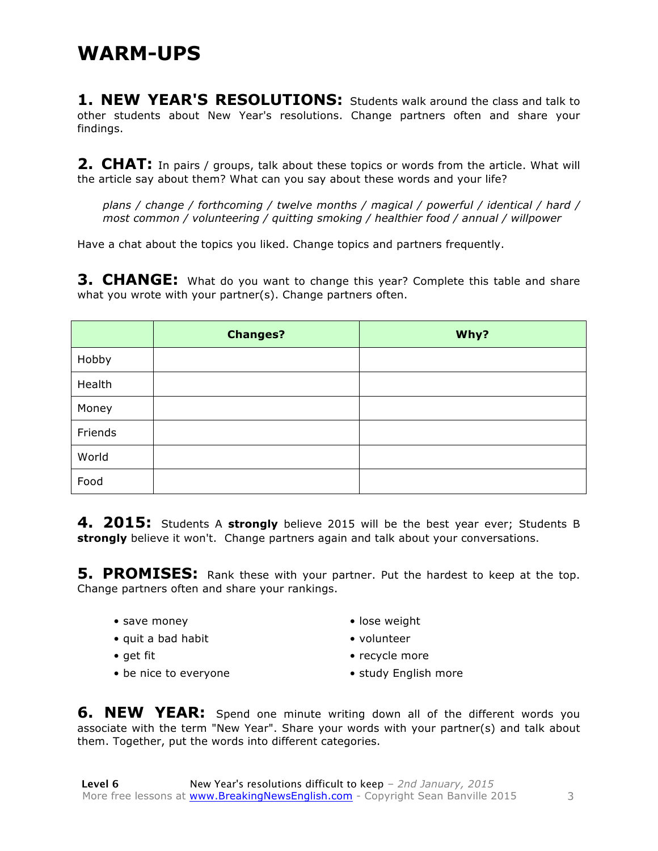1. NEW YEAR'S RESOLUTIONS: Students walk around the class and talk to other students about New Year's resolutions. Change partners often and share your findings.

**2. CHAT:** In pairs / groups, talk about these topics or words from the article. What will the article say about them? What can you say about these words and your life?

*plans / change / forthcoming / twelve months / magical / powerful / identical / hard / most common / volunteering / quitting smoking / healthier food / annual / willpower*

Have a chat about the topics you liked. Change topics and partners frequently.

**3. CHANGE:** What do you want to change this year? Complete this table and share what you wrote with your partner(s). Change partners often.

|         | <b>Changes?</b> | Why? |
|---------|-----------------|------|
| Hobby   |                 |      |
| Health  |                 |      |
| Money   |                 |      |
| Friends |                 |      |
| World   |                 |      |
| Food    |                 |      |

**4. 2015:** Students A **strongly** believe 2015 will be the best year ever; Students B **strongly** believe it won't. Change partners again and talk about your conversations.

**5. PROMISES:** Rank these with your partner. Put the hardest to keep at the top. Change partners often and share your rankings.

- save money
- quit a bad habit
- get fit
- be nice to everyone
- lose weight
- volunteer
- recycle more
- study English more

**6. NEW YEAR:** Spend one minute writing down all of the different words you associate with the term "New Year". Share your words with your partner(s) and talk about them. Together, put the words into different categories.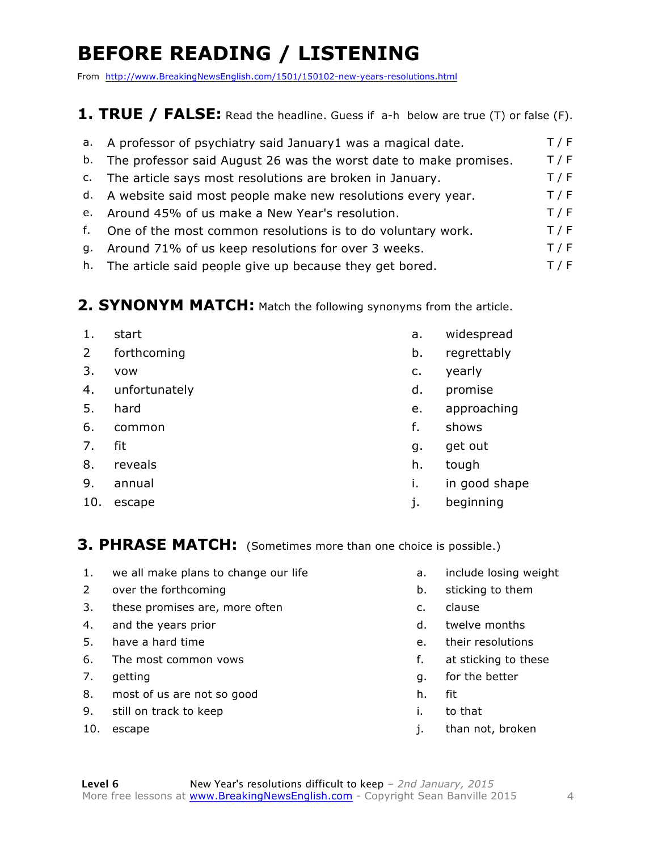# **BEFORE READING / LISTENING**

From http://www.BreakingNewsEnglish.com/1501/150102-new-years-resolutions.html

#### **1. TRUE / FALSE:** Read the headline. Guess if a-h below are true (T) or false (F).

| a. A professor of psychiatry said January1 was a magical date.       | T / F |
|----------------------------------------------------------------------|-------|
| b. The professor said August 26 was the worst date to make promises. | T / F |
| c. The article says most resolutions are broken in January.          | T / F |
| d. A website said most people make new resolutions every year.       | T / F |
| e. Around 45% of us make a New Year's resolution.                    | T / F |
| f. One of the most common resolutions is to do voluntary work.       | T / F |
| g. Around 71% of us keep resolutions for over 3 weeks.               | T / F |
| h. The article said people give up because they get bored.           | T / F |

#### **2. SYNONYM MATCH:** Match the following synonyms from the article.

- 1. start **a.** widespread 2 forthcoming b. regrettably 3. vow c. yearly 4. unfortunately d. promise 5. hard e. approaching 6. common f. shows 7. fit gives a set out of the set of the set of the set of the set of the set of the set of the set of the set of the set of the set of the set of the set of the set of the set of the set of the set of the set of the set o 8. reveals has been a set of the set of the set of the set of the set of the set of the set of the set of the set of the set of the set of the set of the set of the set of the set of the set of the set of the set of the se 9. annual i.e. in good shape
- 
- 
- 
- 
- 10. escape in the set of the set of the set of the set of the set of the set of the set of the set of the set o

#### **3. PHRASE MATCH:** (Sometimes more than one choice is possible.)

- 1. we all make plans to change our life and the controller all include losing weight
- 2 over the forthcoming b. sticking to them
- 3. these promises are, more often example and c. clause
- 4. and the years prior and the years prior and the season of the season of the season of the season of the season of the season of the season of the season of the season of the season of the season of the season of the sea
- 5. have a hard time example a set of their resolutions of their resolutions of their resolutions of the set of the set of the set of the set of the set of the set of the set of the set of the set of the set of the set of t
- 6. The most common vows example that the most common vows are set of the set of the set of the set of the set of the set of the set of the set of the set of the set of the set of the set of the set of the set of the set of
- 
- 8. most of us are not so good h. fit
- 9. still on track to keep in the same in the that
- 
- 
- 
- 
- 
- 
- 
- 7. getting and the settlement of the better settlement of the better settlement of the better settlement of the better
	-
	-
- 10. escape in the set of the set of the set of the set of the set of the set of the set of the set of the set of the set of the set of the set of the set of the set of the set of the set of the set of the set of the set of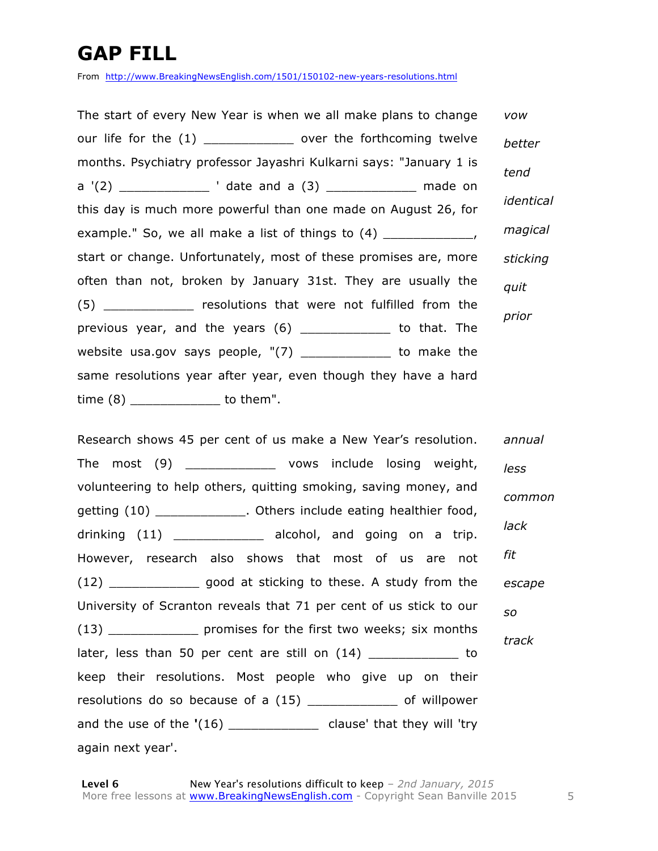### **GAP FILL**

From http://www.BreakingNewsEnglish.com/1501/150102-new-years-resolutions.html

The start of every New Year is when we all make plans to change our life for the (1) \_\_\_\_\_\_\_\_\_\_\_\_\_\_\_\_ over the forthcoming twelve months. Psychiatry professor Jayashri Kulkarni says: "January 1 is a  $'(2)$   $'$  date and a  $(3)$  made on this day is much more powerful than one made on August 26, for example." So, we all make a list of things to  $(4)$  \_\_\_\_\_\_\_\_\_\_\_\_\_, start or change. Unfortunately, most of these promises are, more often than not, broken by January 31st. They are usually the (5) The resolutions that were not fulfilled from the previous year, and the years (6) \_\_\_\_\_\_\_\_\_\_\_\_ to that. The website usa.gov says people,  $\sqrt{7}$  \_\_\_\_\_\_\_\_\_\_\_\_\_ to make the same resolutions year after year, even though they have a hard time (8) \_\_\_\_\_\_\_\_\_\_\_\_ to them". *vow better tend identical magical sticking quit prior*

Research shows 45 per cent of us make a New Year's resolution. The most (9) \_\_\_\_\_\_\_\_\_\_\_\_ vows include losing weight, volunteering to help others, quitting smoking, saving money, and getting (10) \_\_\_\_\_\_\_\_\_\_\_\_\_. Others include eating healthier food, drinking (11) \_\_\_\_\_\_\_\_\_\_\_\_\_ alcohol, and going on a trip. However, research also shows that most of us are not (12) \_\_\_\_\_\_\_\_\_\_\_\_ good at sticking to these. A study from the University of Scranton reveals that 71 per cent of us stick to our (13) \_\_\_\_\_\_\_\_\_\_\_\_ promises for the first two weeks; six months later, less than 50 per cent are still on  $(14)$  \_\_\_\_\_\_\_\_\_\_\_\_\_\_ to keep their resolutions. Most people who give up on their resolutions do so because of a (15) \_\_\_\_\_\_\_\_\_\_\_\_ of willpower and the use of the **'**(16) \_\_\_\_\_\_\_\_\_\_\_\_ clause' that they will 'try again next year'. *annual less common lack fit escape so track*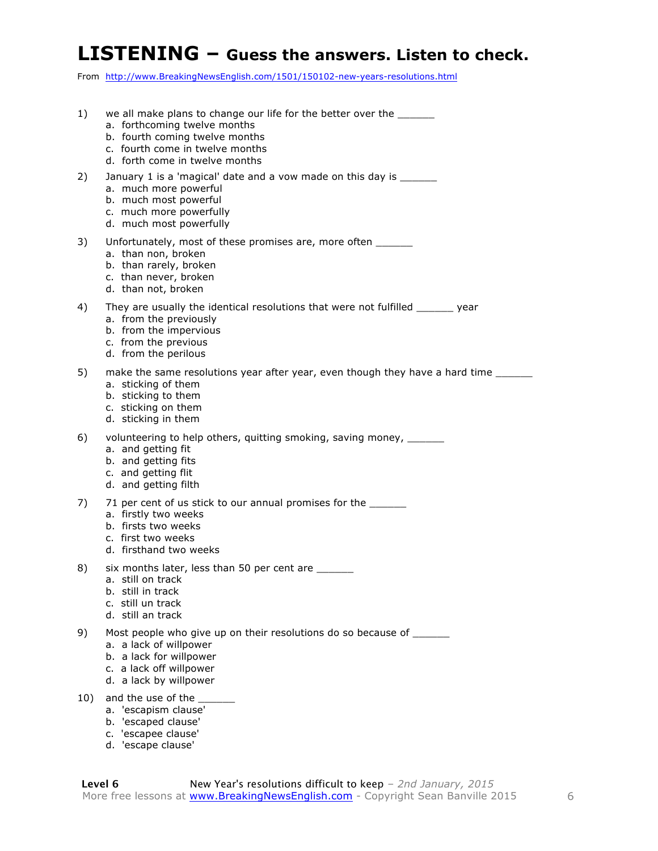#### **LISTENING – Guess the answers. Listen to check.**

From http://www.BreakingNewsEnglish.com/1501/150102-new-years-resolutions.html

- 1) we all make plans to change our life for the better over the a. forthcoming twelve months b. fourth coming twelve months c. fourth come in twelve months d. forth come in twelve months 2) January 1 is a 'magical' date and a vow made on this day is \_\_\_\_\_\_ a. much more powerful b. much most powerful c. much more powerfully d. much most powerfully 3) Unfortunately, most of these promises are, more often a. than non, broken b. than rarely, broken c. than never, broken d. than not, broken 4) They are usually the identical resolutions that were not fulfilled \_\_\_\_\_\_ year a. from the previously b. from the impervious c. from the previous d. from the perilous 5) make the same resolutions year after year, even though they have a hard time \_\_\_\_\_\_ a. sticking of them b. sticking to them c. sticking on them d. sticking in them 6) volunteering to help others, quitting smoking, saving money,  $\frac{1}{2}$ a. and getting fit b. and getting fits c. and getting flit d. and getting filth 7) 71 per cent of us stick to our annual promises for the \_\_\_\_\_\_ a. firstly two weeks b. firsts two weeks c. first two weeks d. firsthand two weeks 8) six months later, less than 50 per cent are \_\_\_\_\_\_ a. still on track b. still in track c. still un track d. still an track 9) Most people who give up on their resolutions do so because of \_\_\_\_\_\_ a. a lack of willpower b. a lack for willpower c. a lack off willpower d. a lack by willpower 10) and the use of the a. 'escapism clause' b. 'escaped clause'
	- c. 'escapee clause'
	- d. 'escape clause'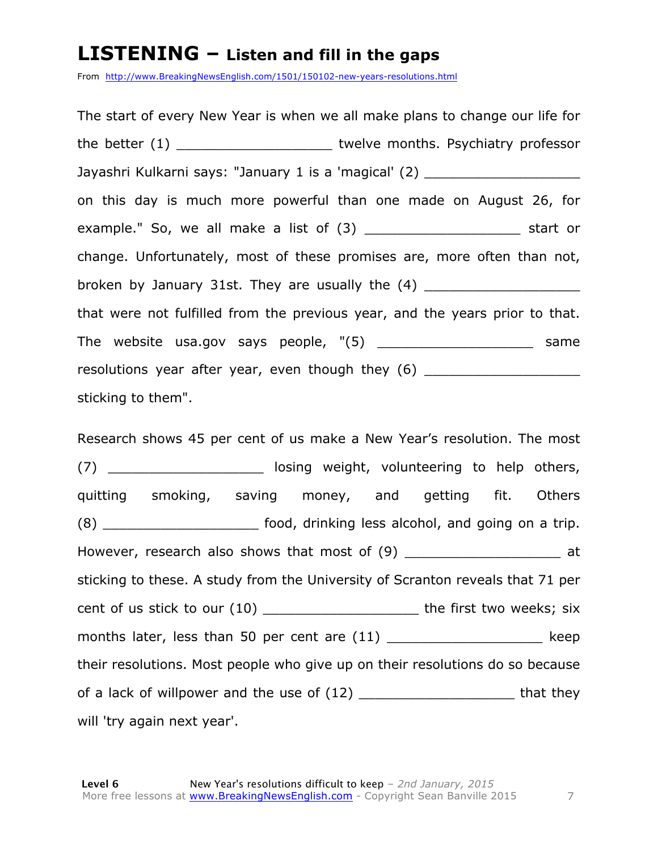#### **LISTENING – Listen and fill in the gaps**

From http://www.BreakingNewsEnglish.com/1501/150102-new-years-resolutions.html

The start of every New Year is when we all make plans to change our life for the better (1) The state of twelve months. Psychiatry professor Jayashri Kulkarni says: "January 1 is a 'magical' (2) \_\_\_\_\_\_\_\_\_\_\_\_\_\_\_\_\_\_\_ on this day is much more powerful than one made on August 26, for example." So, we all make a list of (3) example." Start or change. Unfortunately, most of these promises are, more often than not, broken by January 31st. They are usually the  $(4)$ that were not fulfilled from the previous year, and the years prior to that. The website usa.gov says people, "(5) The website usa.gov says people,  $(5)$ resolutions year after year, even though they (6) sticking to them".

Research shows 45 per cent of us make a New Year's resolution. The most (7) **Example 20 Except** losing weight, volunteering to help others, quitting smoking, saving money, and getting fit. Others (8) \_\_\_\_\_\_\_\_\_\_\_\_\_\_\_\_\_\_\_ food, drinking less alcohol, and going on a trip. However, research also shows that most of (9) \_\_\_\_\_\_\_\_\_\_\_\_\_\_\_\_\_\_\_\_\_ at sticking to these. A study from the University of Scranton reveals that 71 per cent of us stick to our (10) end on the first two weeks; six months later, less than 50 per cent are (11) The state of the state and the state are months at the state of the state  $\log p$ their resolutions. Most people who give up on their resolutions do so because of a lack of willpower and the use of (12) That they will 'try again next year'.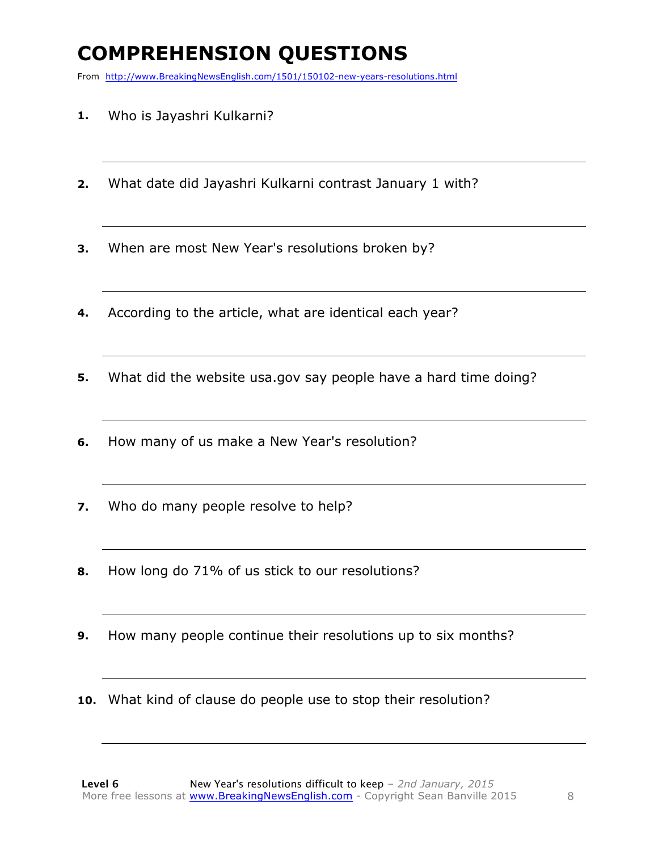# **COMPREHENSION QUESTIONS**

From http://www.BreakingNewsEnglish.com/1501/150102-new-years-resolutions.html

- **1.** Who is Jayashri Kulkarni?
- **2.** What date did Jayashri Kulkarni contrast January 1 with?
- **3.** When are most New Year's resolutions broken by?
- **4.** According to the article, what are identical each year?
- **5.** What did the website usa.gov say people have a hard time doing?
- **6.** How many of us make a New Year's resolution?
- **7.** Who do many people resolve to help?
- **8.** How long do 71% of us stick to our resolutions?
- **9.** How many people continue their resolutions up to six months?
- **10.** What kind of clause do people use to stop their resolution?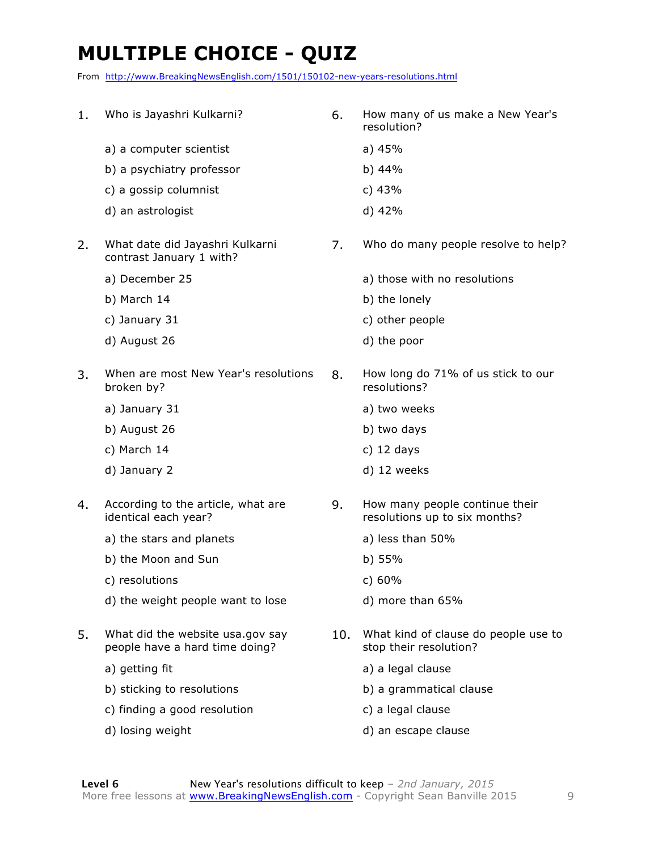# **MULTIPLE CHOICE - QUIZ**

From http://www.BreakingNewsEnglish.com/1501/150102-new-years-resolutions.html

| 1. | Who is Jayashri Kulkarni?                                          | 6.  | How many of us make a New Year's<br>resolution?                 |
|----|--------------------------------------------------------------------|-----|-----------------------------------------------------------------|
|    | a) a computer scientist                                            |     | a) 45%                                                          |
|    | b) a psychiatry professor                                          |     | b) 44%                                                          |
|    | c) a gossip columnist                                              |     | c) $43%$                                                        |
|    | d) an astrologist                                                  |     | d) 42%                                                          |
| 2. | What date did Jayashri Kulkarni<br>contrast January 1 with?        | 7.  | Who do many people resolve to help?                             |
|    | a) December 25                                                     |     | a) those with no resolutions                                    |
|    | b) March 14                                                        |     | b) the lonely                                                   |
|    | c) January 31                                                      |     | c) other people                                                 |
|    | d) August 26                                                       |     | d) the poor                                                     |
| 3. | When are most New Year's resolutions<br>broken by?                 | 8.  | How long do 71% of us stick to our<br>resolutions?              |
|    | a) January 31                                                      |     | a) two weeks                                                    |
|    | b) August 26                                                       |     | b) two days                                                     |
|    | c) March 14                                                        |     | c) $12$ days                                                    |
|    | d) January 2                                                       |     | d) 12 weeks                                                     |
| 4. | According to the article, what are<br>identical each year?         | 9.  | How many people continue their<br>resolutions up to six months? |
|    | a) the stars and planets                                           |     | a) less than 50%                                                |
|    | b) the Moon and Sun                                                |     | b) $55%$                                                        |
|    | c) resolutions                                                     |     | c) 60%                                                          |
|    | d) the weight people want to lose                                  |     | d) more than 65%                                                |
| 5. | What did the website usa.gov say<br>people have a hard time doing? | 10. | What kind of clause do people use to<br>stop their resolution?  |
|    | a) getting fit                                                     |     | a) a legal clause                                               |
|    | b) sticking to resolutions                                         |     | b) a grammatical clause                                         |
|    | c) finding a good resolution                                       |     | c) a legal clause                                               |
|    | d) losing weight                                                   |     | d) an escape clause                                             |
|    |                                                                    |     |                                                                 |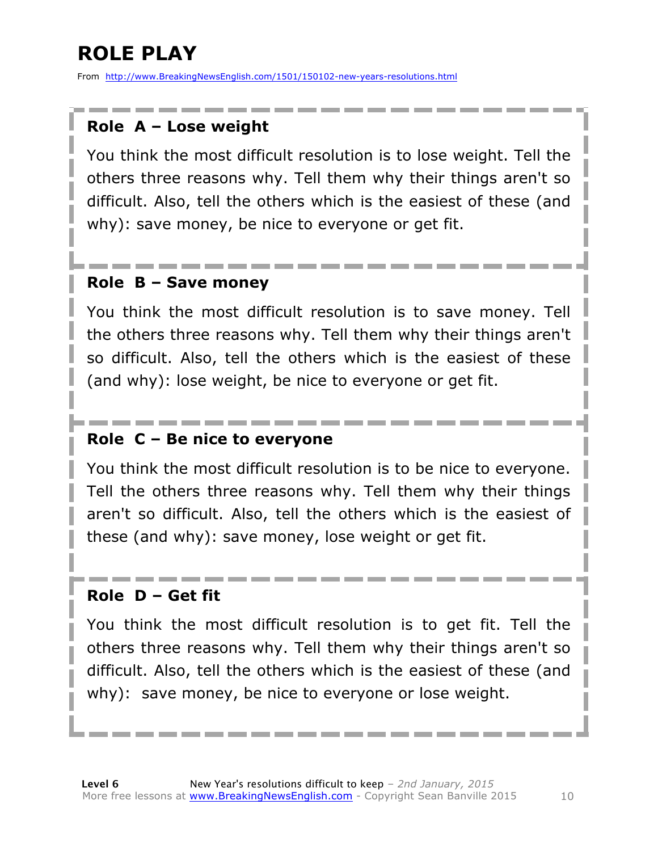# **ROLE PLAY**

From http://www.BreakingNewsEnglish.com/1501/150102-new-years-resolutions.html

#### **Role A – Lose weight**

You think the most difficult resolution is to lose weight. Tell the others three reasons why. Tell them why their things aren't so difficult. Also, tell the others which is the easiest of these (and why): save money, be nice to everyone or get fit.

#### **Role B – Save money**

You think the most difficult resolution is to save money. Tell the others three reasons why. Tell them why their things aren't so difficult. Also, tell the others which is the easiest of these (and why): lose weight, be nice to everyone or get fit.

#### **Role C – Be nice to everyone**

You think the most difficult resolution is to be nice to everyone. Tell the others three reasons why. Tell them why their things aren't so difficult. Also, tell the others which is the easiest of these (and why): save money, lose weight or get fit.

#### **Role D – Get fit**

You think the most difficult resolution is to get fit. Tell the others three reasons why. Tell them why their things aren't so difficult. Also, tell the others which is the easiest of these (and why): save money, be nice to everyone or lose weight.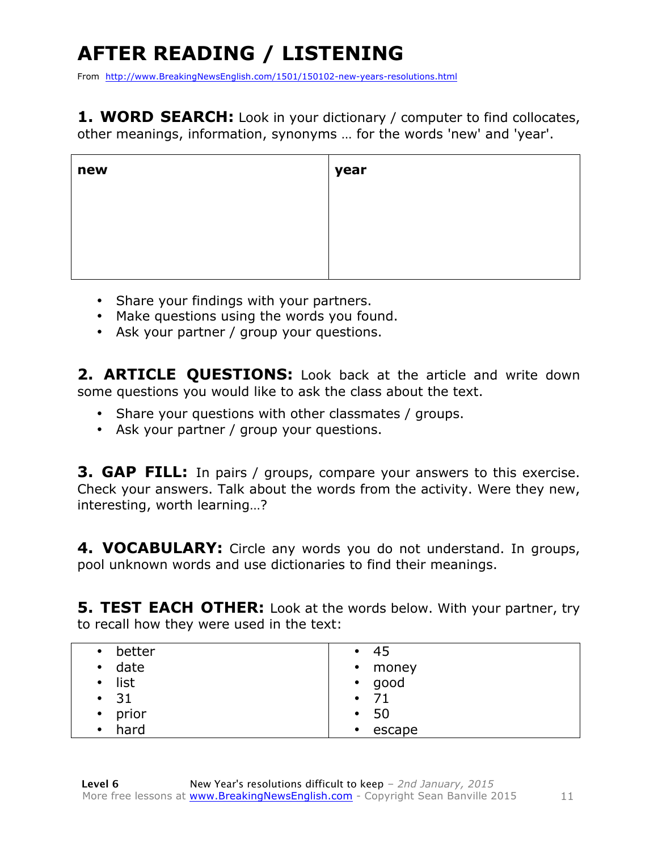# **AFTER READING / LISTENING**

From http://www.BreakingNewsEnglish.com/1501/150102-new-years-resolutions.html

1. WORD SEARCH: Look in your dictionary / computer to find collocates, other meanings, information, synonyms … for the words 'new' and 'year'.

| new | year |
|-----|------|
|     |      |
|     |      |
|     |      |

- Share your findings with your partners.
- Make questions using the words you found.
- Ask your partner / group your questions.

**2. ARTICLE QUESTIONS:** Look back at the article and write down some questions you would like to ask the class about the text.

- Share your questions with other classmates / groups.
- Ask your partner / group your questions.

**3. GAP FILL:** In pairs / groups, compare your answers to this exercise. Check your answers. Talk about the words from the activity. Were they new, interesting, worth learning…?

4. VOCABULARY: Circle any words you do not understand. In groups, pool unknown words and use dictionaries to find their meanings.

**5. TEST EACH OTHER:** Look at the words below. With your partner, try to recall how they were used in the text:

| better            | -45               |
|-------------------|-------------------|
| $\bullet$         | $\bullet$         |
| date<br>$\bullet$ | • money           |
| list<br>$\bullet$ | • good            |
| $\cdot$ 31        | - 71<br>$\bullet$ |
| prior             | -50               |
| $\bullet$         | $\bullet$         |
| hard              | escape            |
| $\bullet$         | $\bullet$         |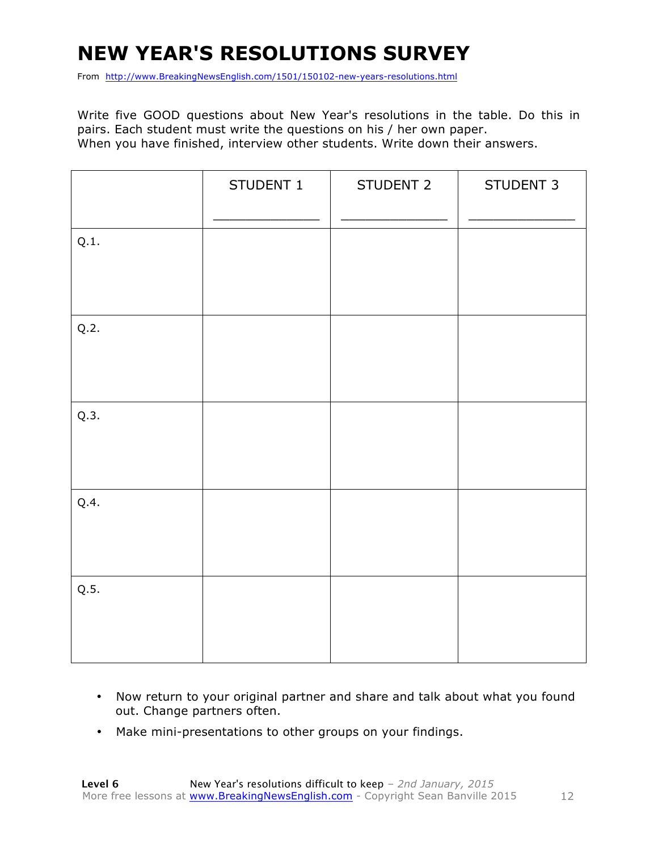# **NEW YEAR'S RESOLUTIONS SURVEY**

From http://www.BreakingNewsEnglish.com/1501/150102-new-years-resolutions.html

Write five GOOD questions about New Year's resolutions in the table. Do this in pairs. Each student must write the questions on his / her own paper. When you have finished, interview other students. Write down their answers.

|      | STUDENT 1 | STUDENT 2 | STUDENT 3 |
|------|-----------|-----------|-----------|
| Q.1. |           |           |           |
| Q.2. |           |           |           |
| Q.3. |           |           |           |
| Q.4. |           |           |           |
| Q.5. |           |           |           |

- Now return to your original partner and share and talk about what you found out. Change partners often.
- Make mini-presentations to other groups on your findings.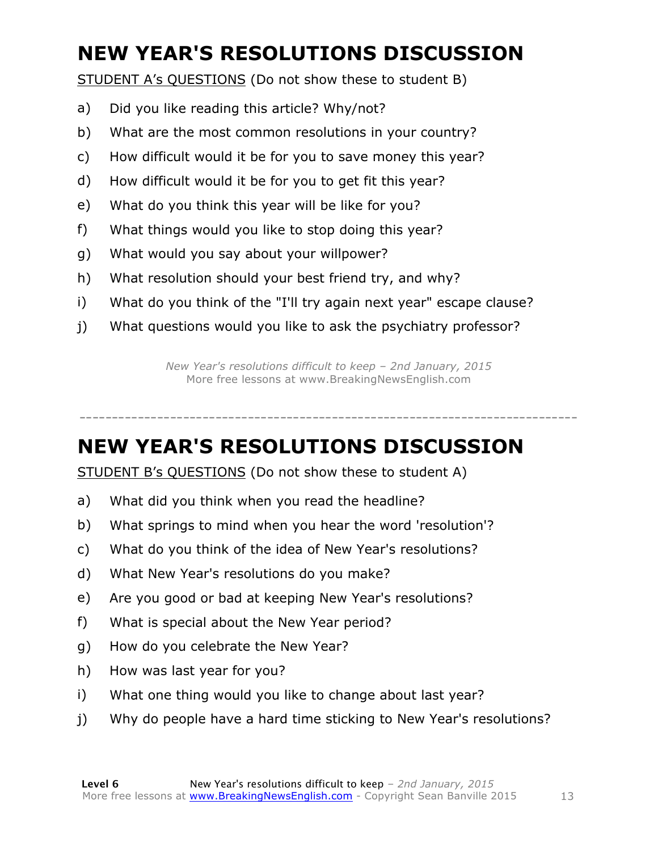# **NEW YEAR'S RESOLUTIONS DISCUSSION**

STUDENT A's QUESTIONS (Do not show these to student B)

- a) Did you like reading this article? Why/not?
- b) What are the most common resolutions in your country?
- c) How difficult would it be for you to save money this year?
- d) How difficult would it be for you to get fit this year?
- e) What do you think this year will be like for you?
- f) What things would you like to stop doing this year?
- g) What would you say about your willpower?
- h) What resolution should your best friend try, and why?
- i) What do you think of the "I'll try again next year" escape clause?
- j) What questions would you like to ask the psychiatry professor?

*New Year's resolutions difficult to keep – 2nd January, 2015* More free lessons at www.BreakingNewsEnglish.com

-----------------------------------------------------------------------------

### **NEW YEAR'S RESOLUTIONS DISCUSSION**

STUDENT B's QUESTIONS (Do not show these to student A)

- a) What did you think when you read the headline?
- b) What springs to mind when you hear the word 'resolution'?
- c) What do you think of the idea of New Year's resolutions?
- d) What New Year's resolutions do you make?
- e) Are you good or bad at keeping New Year's resolutions?
- f) What is special about the New Year period?
- g) How do you celebrate the New Year?
- h) How was last year for you?
- i) What one thing would you like to change about last year?
- j) Why do people have a hard time sticking to New Year's resolutions?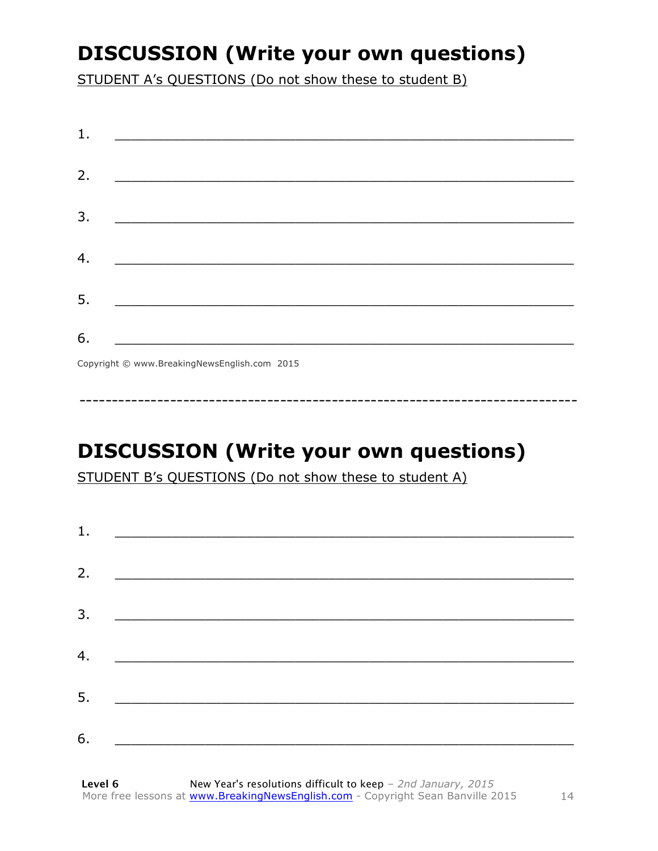### **DISCUSSION (Write your own questions)**

STUDENT A's QUESTIONS (Do not show these to student B)

| 1. |                                                                                                                       |
|----|-----------------------------------------------------------------------------------------------------------------------|
|    |                                                                                                                       |
| 2. | <u> 1989 - Johann John Stein, mars ar yw i brenin y cyfeiriau ar y cyfeiriau ar y cyfeiriau ar y cyfeiriau ar y</u>   |
| 3. | <u> 1989 - Johann Barn, mars ann an t-Amhain an t-Amhain an t-Amhain an t-Amhain an t-Amhain an t-Amhain an t-Amh</u> |
| 4. |                                                                                                                       |
|    |                                                                                                                       |
| 5. |                                                                                                                       |
| 6. |                                                                                                                       |
|    | $C$ and the $\odot$ common Direction Manual in this case. 2015                                                        |

Copyright © www.BreakingNewsEnglish.com 2015

# **DISCUSSION (Write your own questions)**

STUDENT B's QUESTIONS (Do not show these to student A)

| 1. |                                                                                                                         |  |
|----|-------------------------------------------------------------------------------------------------------------------------|--|
| 2. | <u> 1980 - Andrea Andrew Maria (h. 1980).</u>                                                                           |  |
| 3. |                                                                                                                         |  |
|    | <u> 1980 - Andrea Andrew Maria (h. 1980).</u>                                                                           |  |
| 4. | <u> 1989 - Johann Stoff, deutscher Stoffen und der Stoffen und der Stoffen und der Stoffen und der Stoffen und der </u> |  |
| 5. | <u> 1989 - Johann Stoff, deutscher Stoff und der Stoff und der Stoff und der Stoff und der Stoff und der Stoff und</u>  |  |
| 6. | <u> 1980 - Andrea Albert III, politik a postal de la provincia de la provincia de la provincia de la provincia de</u>   |  |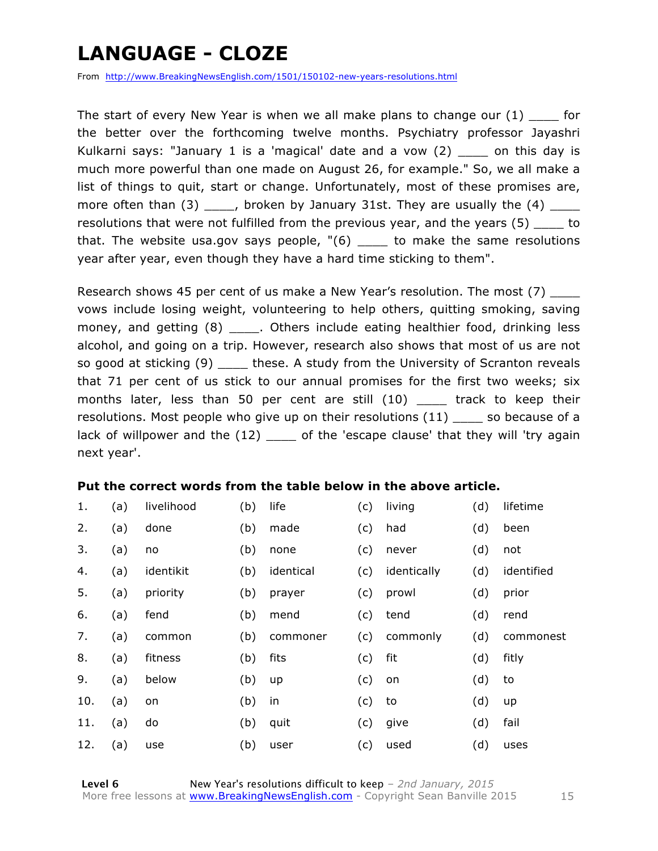### **LANGUAGE - CLOZE**

From http://www.BreakingNewsEnglish.com/1501/150102-new-years-resolutions.html

The start of every New Year is when we all make plans to change our  $(1)$  for the better over the forthcoming twelve months. Psychiatry professor Jayashri Kulkarni says: "January 1 is a 'magical' date and a vow (2) \_\_\_\_ on this day is much more powerful than one made on August 26, for example." So, we all make a list of things to quit, start or change. Unfortunately, most of these promises are, more often than  $(3)$  \_\_\_\_, broken by January 31st. They are usually the  $(4)$  \_\_\_\_ resolutions that were not fulfilled from the previous year, and the years (5) \_\_\_\_ to that. The website usa.gov says people,  $\degree$  (6) \_\_\_\_ to make the same resolutions year after year, even though they have a hard time sticking to them".

Research shows 45 per cent of us make a New Year's resolution. The most (7) vows include losing weight, volunteering to help others, quitting smoking, saving money, and getting (8) \_\_\_\_\_. Others include eating healthier food, drinking less alcohol, and going on a trip. However, research also shows that most of us are not so good at sticking (9) \_\_\_\_\_ these. A study from the University of Scranton reveals that 71 per cent of us stick to our annual promises for the first two weeks; six months later, less than 50 per cent are still (10) \_\_\_\_ track to keep their resolutions. Most people who give up on their resolutions (11) \_\_\_\_ so because of a lack of willpower and the (12) \_\_\_\_\_ of the 'escape clause' that they will 'try again next year'.

#### **Put the correct words from the table below in the above article.**

| 1.  | (a) | livelihood | (b) | life      | (c) | living      | (d) | lifetime   |
|-----|-----|------------|-----|-----------|-----|-------------|-----|------------|
| 2.  | (a) | done       | (b) | made      | (c) | had         | (d) | been       |
| 3.  | (a) | no         | (b) | none      | (c) | never       | (d) | not        |
| 4.  | (a) | identikit  | (b) | identical | (c) | identically | (d) | identified |
| 5.  | (a) | priority   | (b) | prayer    | (c) | prowl       | (d) | prior      |
| 6.  | (a) | fend       | (b) | mend      | (c) | tend        | (d) | rend       |
| 7.  | (a) | common     | (b) | commoner  | (c) | commonly    | (d) | commonest  |
| 8.  | (a) | fitness    | (b) | fits      | (c) | fit         | (d) | fitly      |
| 9.  | (a) | below      | (b) | up        | (c) | on          | (d) | to         |
| 10. | (a) | on         | (b) | in        | (c) | to          | (d) | up         |
| 11. | (a) | do         | (b) | quit      | (c) | give        | (d) | fail       |
| 12. | (a) | use        | (b) | user      | (c) | used        | (d) | uses       |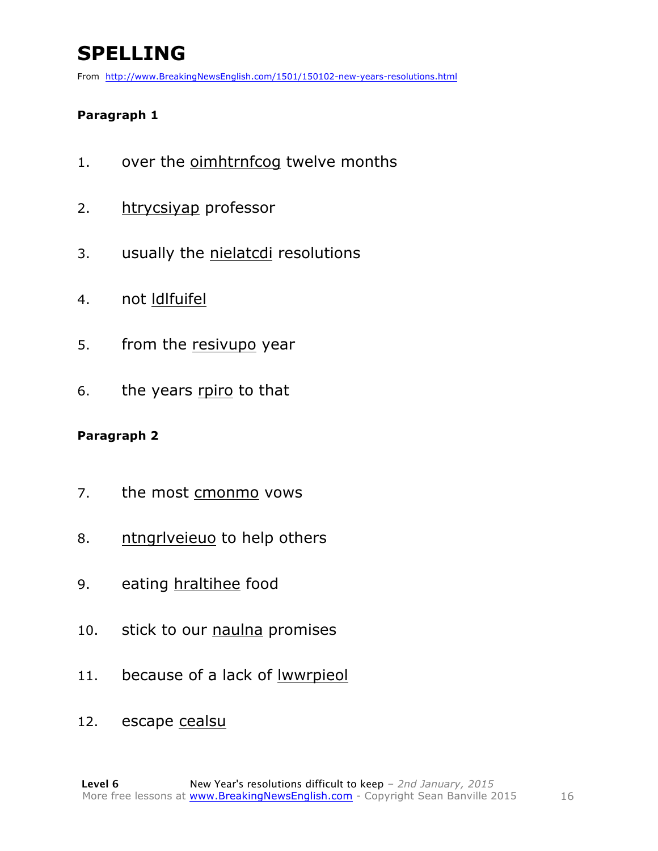# **SPELLING**

From http://www.BreakingNewsEnglish.com/1501/150102-new-years-resolutions.html

#### **Paragraph 1**

- 1. over the oimhtrnfcog twelve months
- 2. htrycsiyap professor
- 3. usually the nielatcdi resolutions
- 4. not ldlfuifel
- 5. from the resivupo year
- 6. the years rpiro to that

#### **Paragraph 2**

- 7. the most cmonmo vows
- 8. ntngrlveieuo to help others
- 9. eating hraltihee food
- 10. stick to our naulna promises
- 11. because of a lack of lwwrpieol
- 12. escape cealsu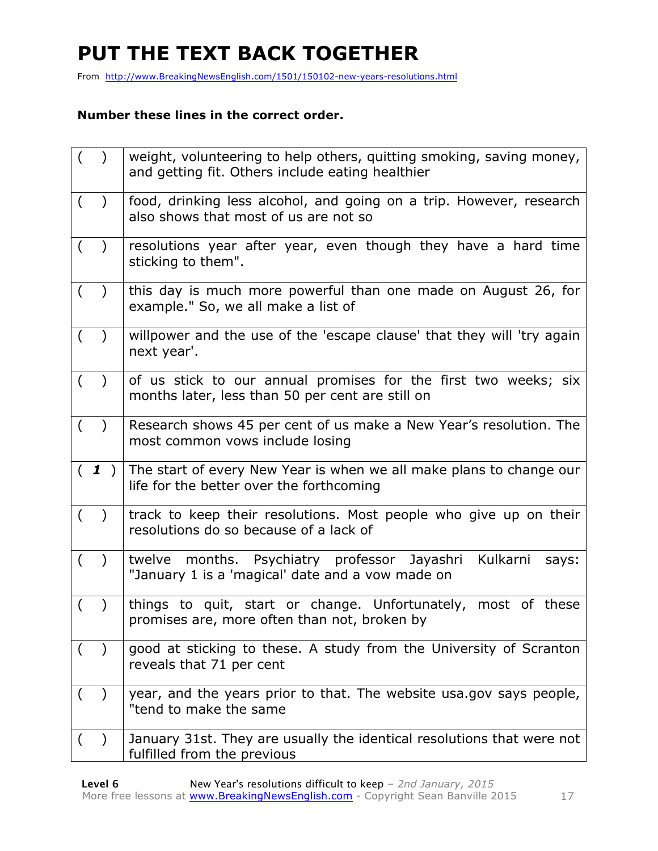# **PUT THE TEXT BACK TOGETHER**

From http://www.BreakingNewsEnglish.com/1501/150102-new-years-resolutions.html

#### **Number these lines in the correct order.**

| $\left($<br>$\rightarrow$ | weight, volunteering to help others, quitting smoking, saving money,<br>and getting fit. Others include eating healthier |
|---------------------------|--------------------------------------------------------------------------------------------------------------------------|
| $\left($                  | food, drinking less alcohol, and going on a trip. However, research<br>also shows that most of us are not so             |
| $\left($<br>$\rightarrow$ | resolutions year after year, even though they have a hard time<br>sticking to them".                                     |
| $\left($                  | this day is much more powerful than one made on August 26, for<br>example." So, we all make a list of                    |
| $($ )                     | willpower and the use of the 'escape clause' that they will 'try again<br>next year'.                                    |
| ( )                       | of us stick to our annual promises for the first two weeks; six<br>months later, less than 50 per cent are still on      |
| $($ )                     | Research shows 45 per cent of us make a New Year's resolution. The<br>most common vows include losing                    |
|                           |                                                                                                                          |
| (1)                       | The start of every New Year is when we all make plans to change our<br>life for the better over the forthcoming          |
| $\left($                  | track to keep their resolutions. Most people who give up on their<br>resolutions do so because of a lack of              |
| $\left($<br>$\big)$       | twelve months. Psychiatry professor Jayashri<br>Kulkarni<br>says:<br>"January 1 is a 'magical' date and a vow made on    |
| (                         | things to quit, start or change. Unfortunately, most of these<br>promises are, more often than not, broken by            |
|                           | good at sticking to these. A study from the University of Scranton<br>reveals that 71 per cent                           |
| $\left($<br>$\lambda$     | year, and the years prior to that. The website usa.gov says people,<br>"tend to make the same                            |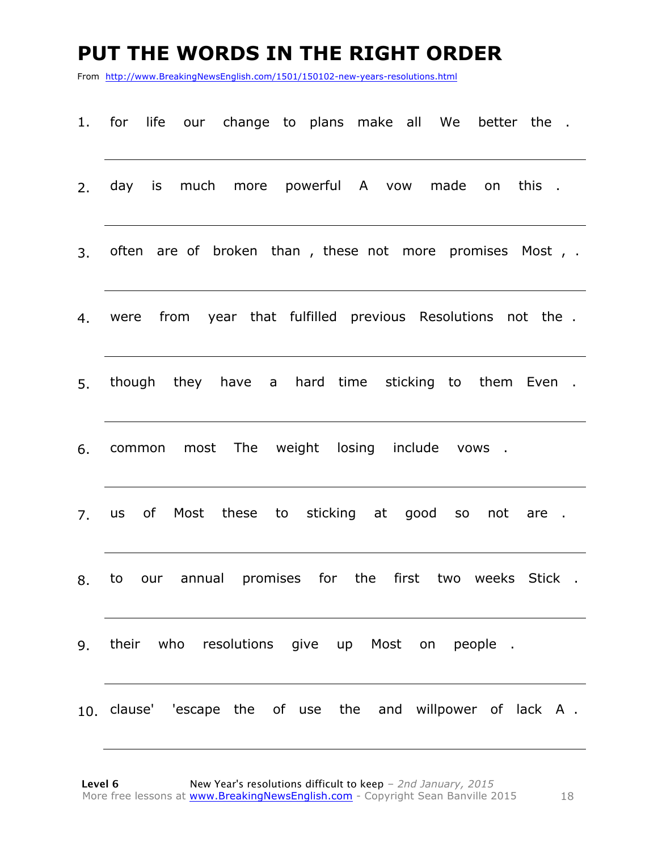#### **PUT THE WORDS IN THE RIGHT ORDER**

From http://www.BreakingNewsEnglish.com/1501/150102-new-years-resolutions.html

- 1. for life our change to plans make all We better the .
- 2. day is much more powerful A vow made on this .
- 3. often are of broken than , these not more promises Most , .
- 4. were from year that fulfilled previous Resolutions not the .
- 5. though they have a hard time sticking to them Even .
- 6. common most The weight losing include vows .
- 7. us of Most these to sticking at good so not are .
- 8. to our annual promises for the first two weeks Stick .
- 9. their who resolutions give up Most on people .
- 10. clause' 'escape the of use the and willpower of lack A .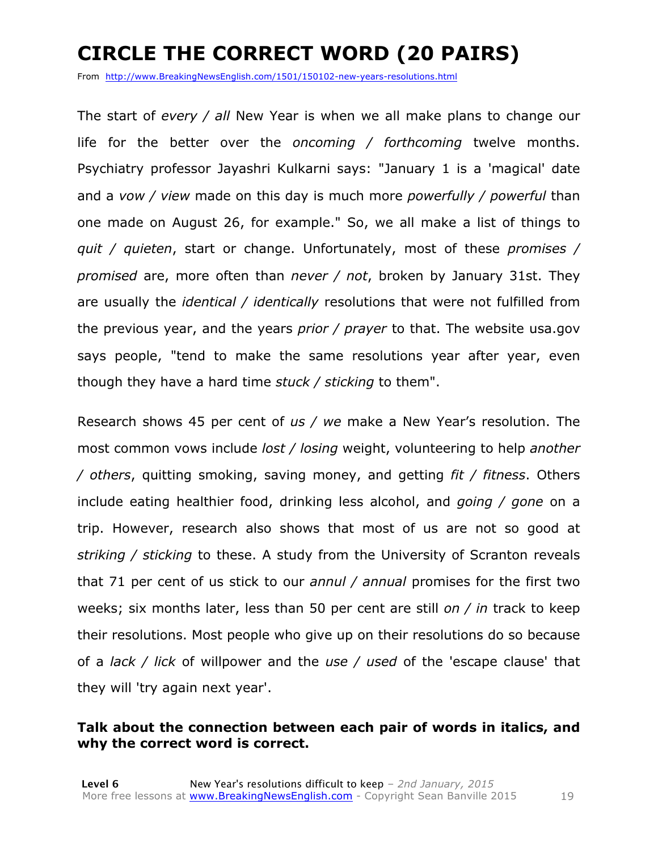# **CIRCLE THE CORRECT WORD (20 PAIRS)**

From http://www.BreakingNewsEnglish.com/1501/150102-new-years-resolutions.html

The start of *every / all* New Year is when we all make plans to change our life for the better over the *oncoming / forthcoming* twelve months. Psychiatry professor Jayashri Kulkarni says: "January 1 is a 'magical' date and a *vow / view* made on this day is much more *powerfully / powerful* than one made on August 26, for example." So, we all make a list of things to *quit / quieten*, start or change. Unfortunately, most of these *promises / promised* are, more often than *never / not*, broken by January 31st. They are usually the *identical / identically* resolutions that were not fulfilled from the previous year, and the years *prior / prayer* to that. The website usa.gov says people, "tend to make the same resolutions year after year, even though they have a hard time *stuck / sticking* to them".

Research shows 45 per cent of *us / we* make a New Year's resolution. The most common vows include *lost / losing* weight, volunteering to help *another / others*, quitting smoking, saving money, and getting *fit / fitness*. Others include eating healthier food, drinking less alcohol, and *going / gone* on a trip. However, research also shows that most of us are not so good at *striking / sticking* to these. A study from the University of Scranton reveals that 71 per cent of us stick to our *annul / annual* promises for the first two weeks; six months later, less than 50 per cent are still *on / in* track to keep their resolutions. Most people who give up on their resolutions do so because of a *lack / lick* of willpower and the *use / used* of the 'escape clause' that they will 'try again next year'.

#### **Talk about the connection between each pair of words in italics, and why the correct word is correct.**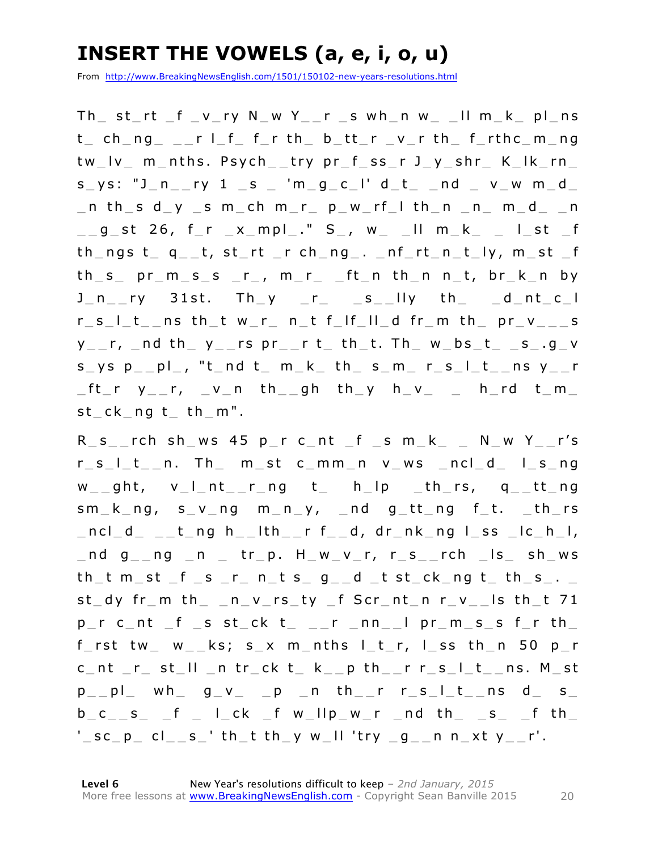### **INSERT THE VOWELS (a, e, i, o, u)**

From http://www.BreakingNewsEnglish.com/1501/150102-new-years-resolutions.html

 $Th$  st\_rt \_f \_v\_ry N\_w Y\_\_r \_s wh\_n w\_ \_II m\_k\_ pl\_ns  $t$  ch ng \_ r l f f r th b tt r v r th f rthc m ng tw\_lv\_ m\_nths. Psych\_\_try pr\_f\_ss\_r J\_y\_shr\_ K\_lk\_rn\_  $s_{y}$ s: "J\_n\_\_ry 1 \_s \_ 'm\_g\_c\_l' d\_t\_ \_nd \_ v\_w m\_d\_  $\_$ n th $\_$ s d $\_$ y  $\_$ s m $\_$ ch m $\_$ r $\_$  p $\_$ w $\_$ rf $\_$ l th $\_$ n  $\_$ n $\_$  m $\_$ d $\_$   $\_$ n  $\texttt{__g\_st}$  26, f\_r  $\texttt{__x\_mpl\_.''}$  S\_, w\_  $\texttt{__ll}$  m\_k\_  $\texttt{__l\_st}$  \_f  $th_n$ gs  $t_a = t$ , st\_rt \_r ch\_ng\_. \_nf\_rt\_n\_t\_ly, m\_st \_f  $th_s$  pr\_m\_s\_s \_r\_, m\_r\_ \_ft\_n  $th_n$  n\_t, br\_k\_n by  $J_n$ <sub>\_r</sub>y 31st. Th y \_r\_ \_s\_\_lly th \_ d\_nt\_c\_l  $r_s_l_t_t$  ns th t w\_r\_ n\_t f\_lf\_ll\_d fr\_m th\_ pr\_v\_\_\_s  $y_{--}$ r,  $_$ nd th $_$  y $_$ -rs pr $_$ -r t $_$ th $_$ t. Th $_$  w $_$ bs $_$ t $_$ -s $_$ .g $_$ v  $s$  ys  $p$  pl, "t nd t m  $k$  th  $s$  m  $r$  s  $l$  t ns  $y$  r  $ft_r$  y\_r, \_v\_n th\_gh th\_y h\_v\_ \_ h\_rd t\_m\_  $st$   $ck$   $ng$   $t$   $th$   $m"$ .

R s rch sh ws 45 p r c nt f s m k N w Y r's  $r \, s \, l \, t \, n$ . Then st common v ws noted is ng  $w_{-\alpha}$ ght, v\_l\_nt\_\_r\_ng t\_ h\_lp \_th\_rs, q\_\_tt\_ng  $sm_k_n$ , s  $v_n$  ng  $m_n$ ,  $v_n$  and  $g_t$  t and  $f_t$ . th rs  $ncl$  d t ng h lth r f d, dr nk ng l ss  $lc$  h l,  $\_$ nd g $\_$ ng  $\_$ n  $\_$  tr $\_$ p. H $\_$ w $\_$ v $\_$ r, r $\_$ s $\_$ rch  $\_$ ls $\_$ sh $\_$ ws  $th\_t$  m  $_{st}$   $_{sf\_s}$   $_{r_-}$  n  $_{t_s}$   $_{s_-}$   $_{g_-}$   $_{d_-}$  t  $_{st\_ck\_ng}$   $_{t_-}$   $_{th\_s_-}$ .  $st_d$  fr\_m  $th_d$  \_n\_v\_rs\_ty \_f Scr\_nt\_n r\_v\_\_ls th\_t 71  $p$ r c\_nt \_f \_s st\_ck t\_ \_\_r \_nn\_\_l pr\_m\_s\_s f\_r th\_ f\_rst tw\_ w\_\_ks; s\_x m\_nths  $l$ \_t\_r,  $l$ \_ss th\_n 50 p\_r  $c$  nt  $r$  st  $ll$  n tr  $ck$  t  $k$  p th  $r$  r  $s$   $l$  t ns. M st  $p_{p}$  p  $|p_{p}$  wh  $q_{p}$   $q_{p}$   $p_{p}$  n th  $r_{p}$  r  $s_{p}$   $s_{p}$   $s_{p}$  $b_c$ <sub>\_\_</sub>s\_ \_f \_ l\_ck \_f w\_llp\_w\_r \_nd th\_ \_s\_ \_f th\_  $'\_$ sc $\_$ p $\_$  cl $\_$   $\_$ s $\_$ ' th $\_$ t th $\_$ y w $\_$ II 'try  $\_$ g $\_$  $\_$ n n $\_$ xt y $\_$  $\_$ r'.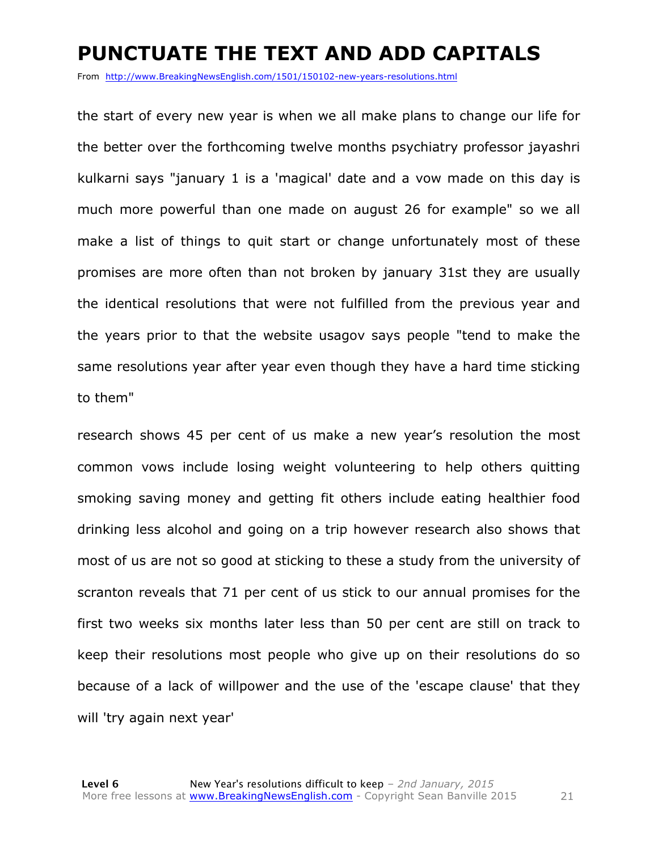#### **PUNCTUATE THE TEXT AND ADD CAPITALS**

From http://www.BreakingNewsEnglish.com/1501/150102-new-years-resolutions.html

the start of every new year is when we all make plans to change our life for the better over the forthcoming twelve months psychiatry professor jayashri kulkarni says "january 1 is a 'magical' date and a vow made on this day is much more powerful than one made on august 26 for example" so we all make a list of things to quit start or change unfortunately most of these promises are more often than not broken by january 31st they are usually the identical resolutions that were not fulfilled from the previous year and the years prior to that the website usagov says people "tend to make the same resolutions year after year even though they have a hard time sticking to them"

research shows 45 per cent of us make a new year's resolution the most common vows include losing weight volunteering to help others quitting smoking saving money and getting fit others include eating healthier food drinking less alcohol and going on a trip however research also shows that most of us are not so good at sticking to these a study from the university of scranton reveals that 71 per cent of us stick to our annual promises for the first two weeks six months later less than 50 per cent are still on track to keep their resolutions most people who give up on their resolutions do so because of a lack of willpower and the use of the 'escape clause' that they will 'try again next year'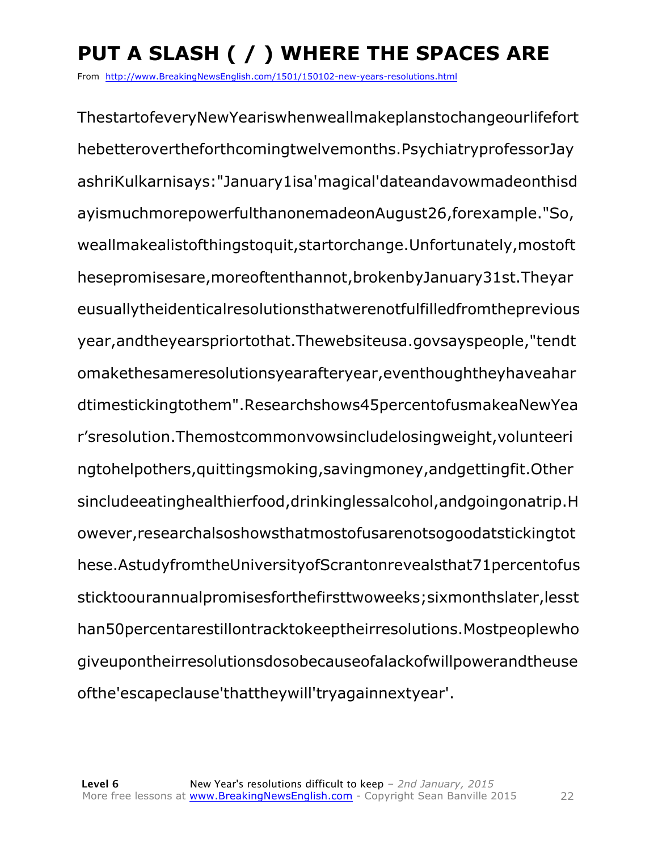# **PUT A SLASH ( / ) WHERE THE SPACES ARE**

From http://www.BreakingNewsEnglish.com/1501/150102-new-years-resolutions.html

ThestartofeveryNewYeariswhenweallmakeplanstochangeourlifefort hebetterovertheforthcomingtwelvemonths.PsychiatryprofessorJay ashriKulkarnisays:"January1isa'magical'dateandavowmadeonthisd ayismuchmorepowerfulthanonemadeonAugust26,forexample."So, weallmakealistofthingstoquit,startorchange.Unfortunately,mostoft hesepromisesare,moreoftenthannot,brokenbyJanuary31st.Theyar eusuallytheidenticalresolutionsthatwerenotfulfilledfromtheprevious year,andtheyearspriortothat.Thewebsiteusa.govsayspeople,"tendt omakethesameresolutionsyearafteryear,eventhoughtheyhaveahar dtimestickingtothem".Researchshows45percentofusmakeaNewYea r'sresolution.Themostcommonvowsincludelosingweight,volunteeri ngtohelpothers,quittingsmoking,savingmoney,andgettingfit.Other sincludeeatinghealthierfood,drinkinglessalcohol,andgoingonatrip.H owever,researchalsoshowsthatmostofusarenotsogoodatstickingtot hese.AstudyfromtheUniversityofScrantonrevealsthat71percentofus sticktoourannualpromisesforthefirsttwoweeks;sixmonthslater,lesst han50percentarestillontracktokeeptheirresolutions.Mostpeoplewho giveupontheirresolutionsdosobecauseofalackofwillpowerandtheuse ofthe'escapeclause'thattheywill'tryagainnextyear'.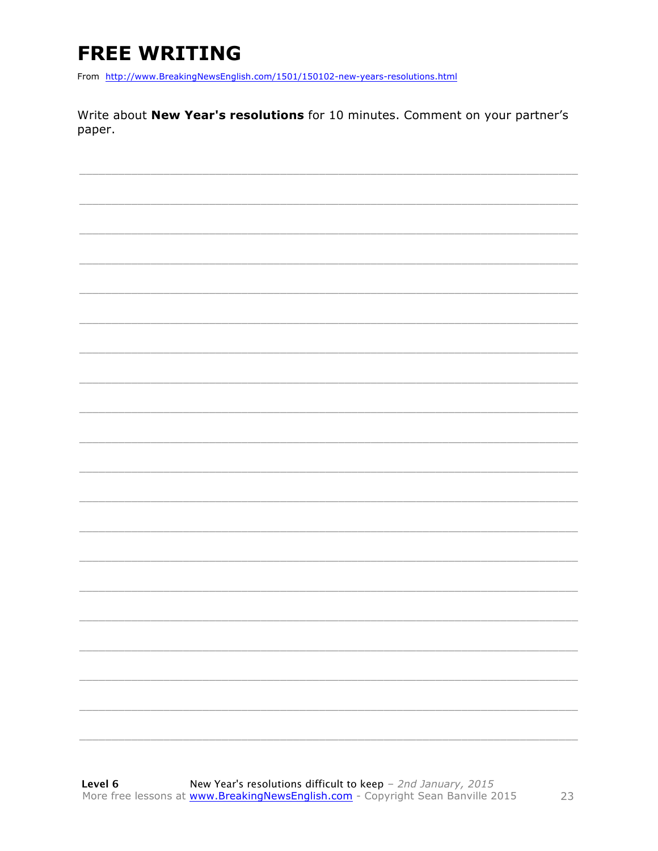# **FREE WRITING**

From http://www.BreakingNewsEnglish.com/1501/150102-new-years-resolutions.html

Write about New Year's resolutions for 10 minutes. Comment on your partner's paper.

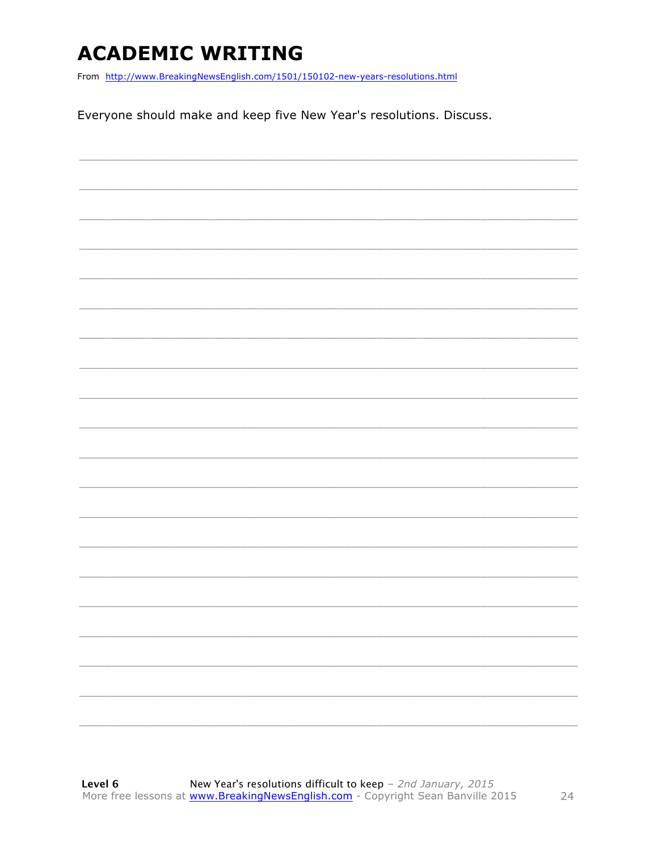### **ACADEMIC WRITING**

From http://www.BreakingNewsEnglish.com/1501/150102-new-years-resolutions.html

Everyone should make and keep five New Year's resolutions. Discuss.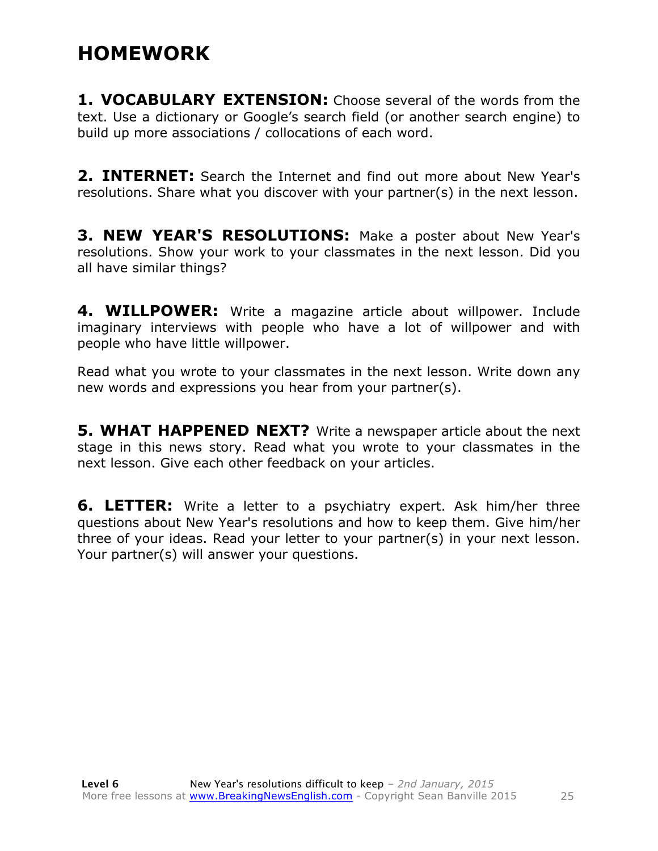### **HOMEWORK**

**1. VOCABULARY EXTENSION:** Choose several of the words from the text. Use a dictionary or Google's search field (or another search engine) to build up more associations / collocations of each word.

**2. INTERNET:** Search the Internet and find out more about New Year's resolutions. Share what you discover with your partner(s) in the next lesson.

**3. NEW YEAR'S RESOLUTIONS:** Make a poster about New Year's resolutions. Show your work to your classmates in the next lesson. Did you all have similar things?

**4. WILLPOWER:** Write a magazine article about willpower. Include imaginary interviews with people who have a lot of willpower and with people who have little willpower.

Read what you wrote to your classmates in the next lesson. Write down any new words and expressions you hear from your partner(s).

**5. WHAT HAPPENED NEXT?** Write a newspaper article about the next stage in this news story. Read what you wrote to your classmates in the next lesson. Give each other feedback on your articles.

**6. LETTER:** Write a letter to a psychiatry expert. Ask him/her three questions about New Year's resolutions and how to keep them. Give him/her three of your ideas. Read your letter to your partner(s) in your next lesson. Your partner(s) will answer your questions.